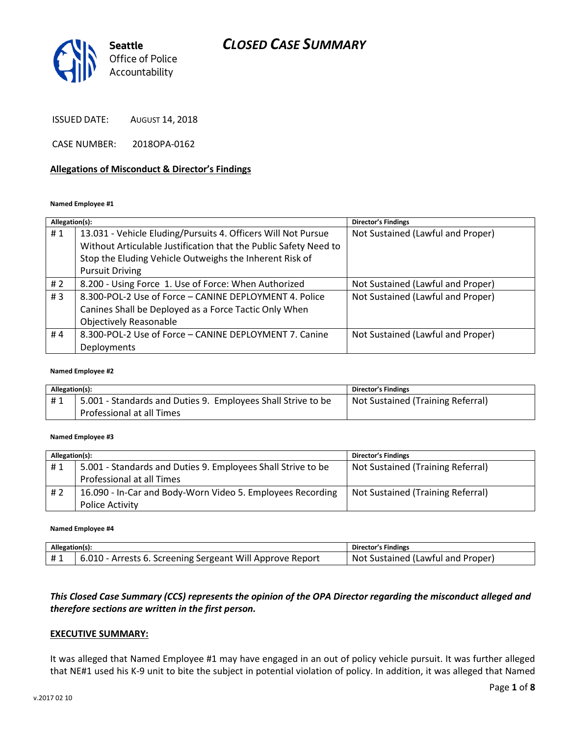

ISSUED DATE: AUGUST 14, 2018

CASE NUMBER: 2018OPA-0162

### **Allegations of Misconduct & Director's Findings**

### **Named Employee #1**

| Allegation(s): |                                                                  | <b>Director's Findings</b>        |
|----------------|------------------------------------------------------------------|-----------------------------------|
| #1             | 13.031 - Vehicle Eluding/Pursuits 4. Officers Will Not Pursue    | Not Sustained (Lawful and Proper) |
|                | Without Articulable Justification that the Public Safety Need to |                                   |
|                | Stop the Eluding Vehicle Outweighs the Inherent Risk of          |                                   |
|                | <b>Pursuit Driving</b>                                           |                                   |
| #2             | 8.200 - Using Force 1. Use of Force: When Authorized             | Not Sustained (Lawful and Proper) |
| #3             | 8.300-POL-2 Use of Force - CANINE DEPLOYMENT 4. Police           | Not Sustained (Lawful and Proper) |
|                | Canines Shall be Deployed as a Force Tactic Only When            |                                   |
|                | <b>Objectively Reasonable</b>                                    |                                   |
| #4             | 8.300-POL-2 Use of Force - CANINE DEPLOYMENT 7. Canine           | Not Sustained (Lawful and Proper) |
|                | Deployments                                                      |                                   |

### **Named Employee #2**

| Allegation(s): |                                                              | <b>Director's Findings</b>        |
|----------------|--------------------------------------------------------------|-----------------------------------|
| #1             | 5.001 - Standards and Duties 9. Employees Shall Strive to be | Not Sustained (Training Referral) |
|                | Professional at all Times                                    |                                   |

### **Named Employee #3**

| Allegation(s): |                                                              | <b>Director's Findings</b>        |
|----------------|--------------------------------------------------------------|-----------------------------------|
| #1             | 5.001 - Standards and Duties 9. Employees Shall Strive to be | Not Sustained (Training Referral) |
|                | Professional at all Times                                    |                                   |
| #2             | 16.090 - In-Car and Body-Worn Video 5. Employees Recording   | Not Sustained (Training Referral) |
|                | Police Activity                                              |                                   |

#### **Named Employee #4**

| Allegation(s): |                                                                        | Director's Findings               |
|----------------|------------------------------------------------------------------------|-----------------------------------|
| <b>H</b> 1     | <sup>1</sup> 6.010 - Arrests 6. Screening Sergeant Will Approve Report | Not Sustained (Lawful and Proper) |

### *This Closed Case Summary (CCS) represents the opinion of the OPA Director regarding the misconduct alleged and therefore sections are written in the first person.*

### **EXECUTIVE SUMMARY:**

It was alleged that Named Employee #1 may have engaged in an out of policy vehicle pursuit. It was further alleged that NE#1 used his K-9 unit to bite the subject in potential violation of policy. In addition, it was alleged that Named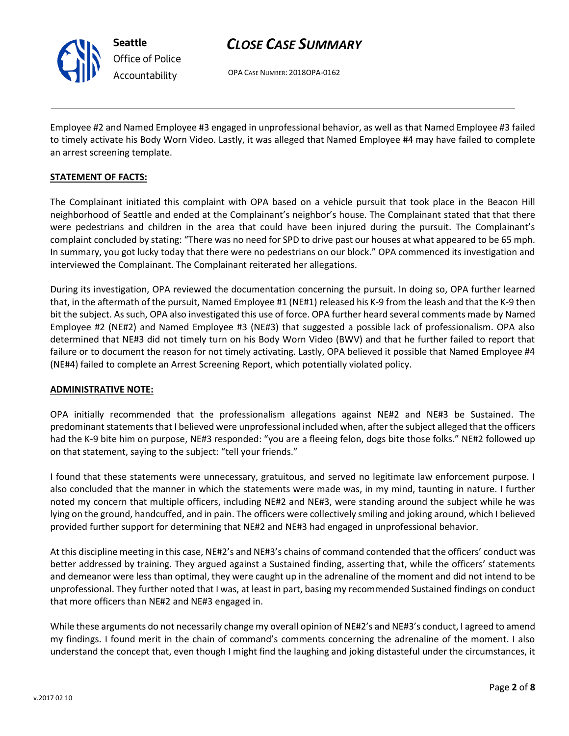

OPA CASE NUMBER: 2018OPA-0162

Employee #2 and Named Employee #3 engaged in unprofessional behavior, as well as that Named Employee #3 failed to timely activate his Body Worn Video. Lastly, it was alleged that Named Employee #4 may have failed to complete an arrest screening template.

### **STATEMENT OF FACTS:**

The Complainant initiated this complaint with OPA based on a vehicle pursuit that took place in the Beacon Hill neighborhood of Seattle and ended at the Complainant's neighbor's house. The Complainant stated that that there were pedestrians and children in the area that could have been injured during the pursuit. The Complainant's complaint concluded by stating: "There was no need for SPD to drive past our houses at what appeared to be 65 mph. In summary, you got lucky today that there were no pedestrians on our block." OPA commenced its investigation and interviewed the Complainant. The Complainant reiterated her allegations.

During its investigation, OPA reviewed the documentation concerning the pursuit. In doing so, OPA further learned that, in the aftermath of the pursuit, Named Employee #1 (NE#1) released his K-9 from the leash and that the K-9 then bit the subject. As such, OPA also investigated this use of force. OPA further heard several comments made by Named Employee #2 (NE#2) and Named Employee #3 (NE#3) that suggested a possible lack of professionalism. OPA also determined that NE#3 did not timely turn on his Body Worn Video (BWV) and that he further failed to report that failure or to document the reason for not timely activating. Lastly, OPA believed it possible that Named Employee #4 (NE#4) failed to complete an Arrest Screening Report, which potentially violated policy.

### **ADMINISTRATIVE NOTE:**

OPA initially recommended that the professionalism allegations against NE#2 and NE#3 be Sustained. The predominant statements that I believed were unprofessional included when, after the subject alleged that the officers had the K-9 bite him on purpose, NE#3 responded: "you are a fleeing felon, dogs bite those folks." NE#2 followed up on that statement, saying to the subject: "tell your friends."

I found that these statements were unnecessary, gratuitous, and served no legitimate law enforcement purpose. I also concluded that the manner in which the statements were made was, in my mind, taunting in nature. I further noted my concern that multiple officers, including NE#2 and NE#3, were standing around the subject while he was lying on the ground, handcuffed, and in pain. The officers were collectively smiling and joking around, which I believed provided further support for determining that NE#2 and NE#3 had engaged in unprofessional behavior.

At this discipline meeting in this case, NE#2's and NE#3's chains of command contended that the officers' conduct was better addressed by training. They argued against a Sustained finding, asserting that, while the officers' statements and demeanor were less than optimal, they were caught up in the adrenaline of the moment and did not intend to be unprofessional. They further noted that I was, at least in part, basing my recommended Sustained findings on conduct that more officers than NE#2 and NE#3 engaged in.

While these arguments do not necessarily change my overall opinion of NE#2's and NE#3's conduct, I agreed to amend my findings. I found merit in the chain of command's comments concerning the adrenaline of the moment. I also understand the concept that, even though I might find the laughing and joking distasteful under the circumstances, it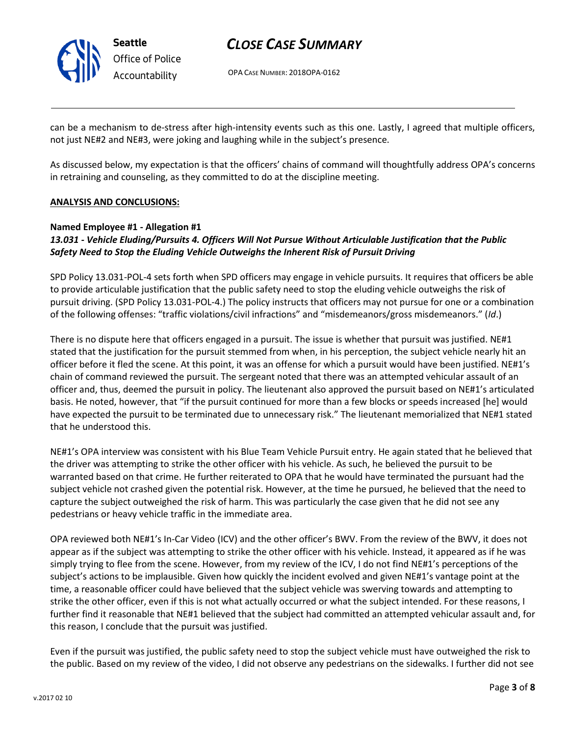

OPA CASE NUMBER: 2018OPA-0162

can be a mechanism to de-stress after high-intensity events such as this one. Lastly, I agreed that multiple officers, not just NE#2 and NE#3, were joking and laughing while in the subject's presence.

As discussed below, my expectation is that the officers' chains of command will thoughtfully address OPA's concerns in retraining and counseling, as they committed to do at the discipline meeting.

### **ANALYSIS AND CONCLUSIONS:**

### **Named Employee #1 - Allegation #1**

### *13.031 - Vehicle Eluding/Pursuits 4. Officers Will Not Pursue Without Articulable Justification that the Public Safety Need to Stop the Eluding Vehicle Outweighs the Inherent Risk of Pursuit Driving*

SPD Policy 13.031-POL-4 sets forth when SPD officers may engage in vehicle pursuits. It requires that officers be able to provide articulable justification that the public safety need to stop the eluding vehicle outweighs the risk of pursuit driving. (SPD Policy 13.031-POL-4.) The policy instructs that officers may not pursue for one or a combination of the following offenses: "traffic violations/civil infractions" and "misdemeanors/gross misdemeanors." (*Id*.)

There is no dispute here that officers engaged in a pursuit. The issue is whether that pursuit was justified. NE#1 stated that the justification for the pursuit stemmed from when, in his perception, the subject vehicle nearly hit an officer before it fled the scene. At this point, it was an offense for which a pursuit would have been justified. NE#1's chain of command reviewed the pursuit. The sergeant noted that there was an attempted vehicular assault of an officer and, thus, deemed the pursuit in policy. The lieutenant also approved the pursuit based on NE#1's articulated basis. He noted, however, that "if the pursuit continued for more than a few blocks or speeds increased [he] would have expected the pursuit to be terminated due to unnecessary risk." The lieutenant memorialized that NE#1 stated that he understood this.

NE#1's OPA interview was consistent with his Blue Team Vehicle Pursuit entry. He again stated that he believed that the driver was attempting to strike the other officer with his vehicle. As such, he believed the pursuit to be warranted based on that crime. He further reiterated to OPA that he would have terminated the pursuant had the subject vehicle not crashed given the potential risk. However, at the time he pursued, he believed that the need to capture the subject outweighed the risk of harm. This was particularly the case given that he did not see any pedestrians or heavy vehicle traffic in the immediate area.

OPA reviewed both NE#1's In-Car Video (ICV) and the other officer's BWV. From the review of the BWV, it does not appear as if the subject was attempting to strike the other officer with his vehicle. Instead, it appeared as if he was simply trying to flee from the scene. However, from my review of the ICV, I do not find NE#1's perceptions of the subject's actions to be implausible. Given how quickly the incident evolved and given NE#1's vantage point at the time, a reasonable officer could have believed that the subject vehicle was swerving towards and attempting to strike the other officer, even if this is not what actually occurred or what the subject intended. For these reasons, I further find it reasonable that NE#1 believed that the subject had committed an attempted vehicular assault and, for this reason, I conclude that the pursuit was justified.

Even if the pursuit was justified, the public safety need to stop the subject vehicle must have outweighed the risk to the public. Based on my review of the video, I did not observe any pedestrians on the sidewalks. I further did not see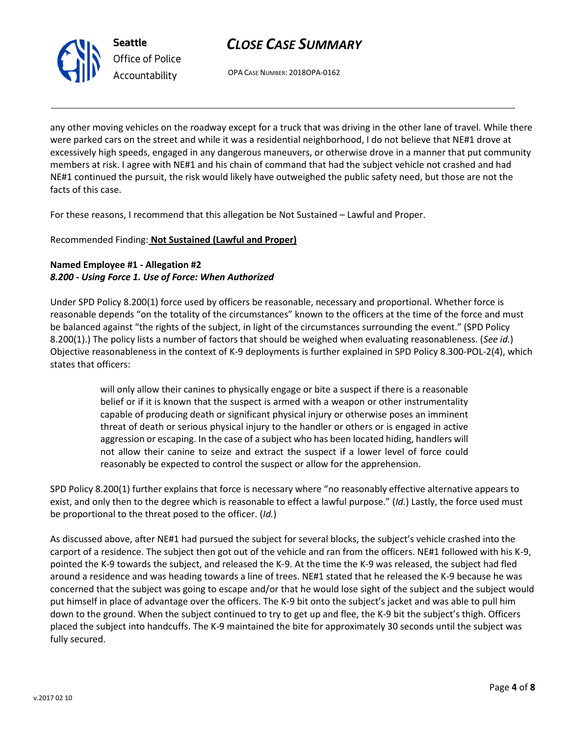

OPA CASE NUMBER: 2018OPA-0162

any other moving vehicles on the roadway except for a truck that was driving in the other lane of travel. While there were parked cars on the street and while it was a residential neighborhood, I do not believe that NE#1 drove at excessively high speeds, engaged in any dangerous maneuvers, or otherwise drove in a manner that put community members at risk. I agree with NE#1 and his chain of command that had the subject vehicle not crashed and had NE#1 continued the pursuit, the risk would likely have outweighed the public safety need, but those are not the facts of this case.

For these reasons, I recommend that this allegation be Not Sustained – Lawful and Proper.

### Recommended Finding: **Not Sustained (Lawful and Proper)**

## **Named Employee #1 - Allegation #2** *8.200 - Using Force 1. Use of Force: When Authorized*

Under SPD Policy 8.200(1) force used by officers be reasonable, necessary and proportional. Whether force is reasonable depends "on the totality of the circumstances" known to the officers at the time of the force and must be balanced against "the rights of the subject, in light of the circumstances surrounding the event." (SPD Policy 8.200(1).) The policy lists a number of factors that should be weighed when evaluating reasonableness. (*See id.*) Objective reasonableness in the context of K-9 deployments is further explained in SPD Policy 8.300-POL-2(4), which states that officers:

> will only allow their canines to physically engage or bite a suspect if there is a reasonable belief or if it is known that the suspect is armed with a weapon or other instrumentality capable of producing death or significant physical injury or otherwise poses an imminent threat of death or serious physical injury to the handler or others or is engaged in active aggression or escaping. In the case of a subject who has been located hiding, handlers will not allow their canine to seize and extract the suspect if a lower level of force could reasonably be expected to control the suspect or allow for the apprehension.

SPD Policy 8.200(1) further explains that force is necessary where "no reasonably effective alternative appears to exist, and only then to the degree which is reasonable to effect a lawful purpose." (*Id.*) Lastly, the force used must be proportional to the threat posed to the officer. (*Id.*)

As discussed above, after NE#1 had pursued the subject for several blocks, the subject's vehicle crashed into the carport of a residence. The subject then got out of the vehicle and ran from the officers. NE#1 followed with his K-9, pointed the K-9 towards the subject, and released the K-9. At the time the K-9 was released, the subject had fled around a residence and was heading towards a line of trees. NE#1 stated that he released the K-9 because he was concerned that the subject was going to escape and/or that he would lose sight of the subject and the subject would put himself in place of advantage over the officers. The K-9 bit onto the subject's jacket and was able to pull him down to the ground. When the subject continued to try to get up and flee, the K-9 bit the subject's thigh. Officers placed the subject into handcuffs. The K-9 maintained the bite for approximately 30 seconds until the subject was fully secured.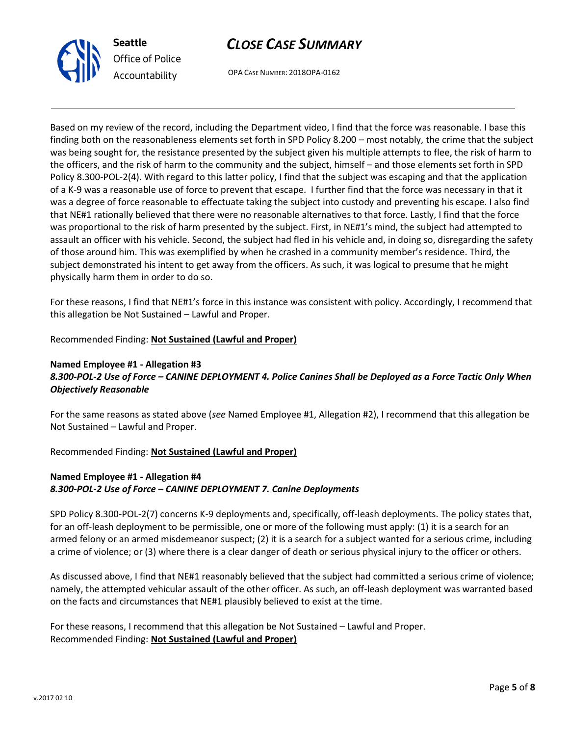

OPA CASE NUMBER: 2018OPA-0162

Based on my review of the record, including the Department video, I find that the force was reasonable. I base this finding both on the reasonableness elements set forth in SPD Policy 8.200 – most notably, the crime that the subject was being sought for, the resistance presented by the subject given his multiple attempts to flee, the risk of harm to the officers, and the risk of harm to the community and the subject, himself – and those elements set forth in SPD Policy 8.300-POL-2(4). With regard to this latter policy, I find that the subject was escaping and that the application of a K-9 was a reasonable use of force to prevent that escape. I further find that the force was necessary in that it was a degree of force reasonable to effectuate taking the subject into custody and preventing his escape. I also find that NE#1 rationally believed that there were no reasonable alternatives to that force. Lastly, I find that the force was proportional to the risk of harm presented by the subject. First, in NE#1's mind, the subject had attempted to assault an officer with his vehicle. Second, the subject had fled in his vehicle and, in doing so, disregarding the safety of those around him. This was exemplified by when he crashed in a community member's residence. Third, the subject demonstrated his intent to get away from the officers. As such, it was logical to presume that he might physically harm them in order to do so.

For these reasons, I find that NE#1's force in this instance was consistent with policy. Accordingly, I recommend that this allegation be Not Sustained – Lawful and Proper.

Recommended Finding: **Not Sustained (Lawful and Proper)**

## **Named Employee #1 - Allegation #3** *8.300-POL-2 Use of Force – CANINE DEPLOYMENT 4. Police Canines Shall be Deployed as a Force Tactic Only When Objectively Reasonable*

For the same reasons as stated above (*see* Named Employee #1, Allegation #2), I recommend that this allegation be Not Sustained – Lawful and Proper.

Recommended Finding: **Not Sustained (Lawful and Proper)**

## **Named Employee #1 - Allegation #4** *8.300-POL-2 Use of Force – CANINE DEPLOYMENT 7. Canine Deployments*

SPD Policy 8.300-POL-2(7) concerns K-9 deployments and, specifically, off-leash deployments. The policy states that, for an off-leash deployment to be permissible, one or more of the following must apply: (1) it is a search for an armed felony or an armed misdemeanor suspect; (2) it is a search for a subject wanted for a serious crime, including a crime of violence; or (3) where there is a clear danger of death or serious physical injury to the officer or others.

As discussed above, I find that NE#1 reasonably believed that the subject had committed a serious crime of violence; namely, the attempted vehicular assault of the other officer. As such, an off-leash deployment was warranted based on the facts and circumstances that NE#1 plausibly believed to exist at the time.

For these reasons, I recommend that this allegation be Not Sustained – Lawful and Proper. Recommended Finding: **Not Sustained (Lawful and Proper)**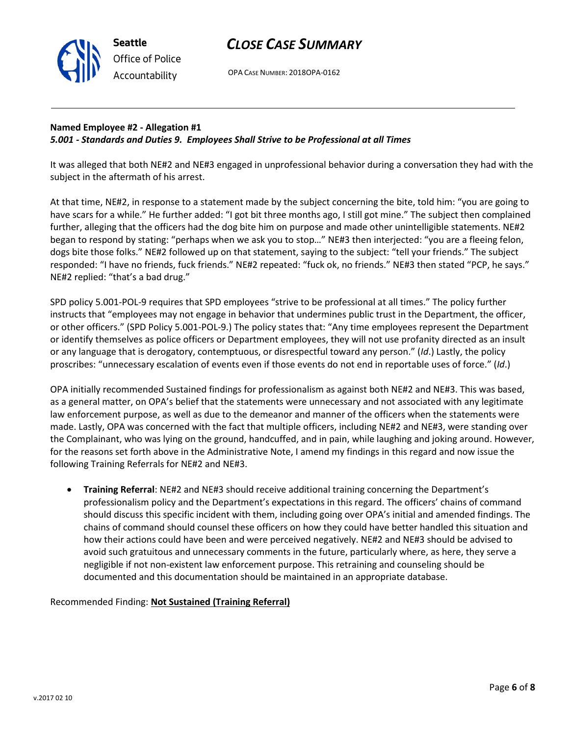OPA CASE NUMBER: 2018OPA-0162

## **Named Employee #2 - Allegation #1** *5.001 - Standards and Duties 9. Employees Shall Strive to be Professional at all Times*

It was alleged that both NE#2 and NE#3 engaged in unprofessional behavior during a conversation they had with the subject in the aftermath of his arrest.

At that time, NE#2, in response to a statement made by the subject concerning the bite, told him: "you are going to have scars for a while." He further added: "I got bit three months ago, I still got mine." The subject then complained further, alleging that the officers had the dog bite him on purpose and made other unintelligible statements. NE#2 began to respond by stating: "perhaps when we ask you to stop…" NE#3 then interjected: "you are a fleeing felon, dogs bite those folks." NE#2 followed up on that statement, saying to the subject: "tell your friends." The subject responded: "I have no friends, fuck friends." NE#2 repeated: "fuck ok, no friends." NE#3 then stated "PCP, he says." NE#2 replied: "that's a bad drug."

SPD policy 5.001-POL-9 requires that SPD employees "strive to be professional at all times." The policy further instructs that "employees may not engage in behavior that undermines public trust in the Department, the officer, or other officers." (SPD Policy 5.001-POL-9.) The policy states that: "Any time employees represent the Department or identify themselves as police officers or Department employees, they will not use profanity directed as an insult or any language that is derogatory, contemptuous, or disrespectful toward any person." (*Id*.) Lastly, the policy proscribes: "unnecessary escalation of events even if those events do not end in reportable uses of force." (*Id*.)

OPA initially recommended Sustained findings for professionalism as against both NE#2 and NE#3. This was based, as a general matter, on OPA's belief that the statements were unnecessary and not associated with any legitimate law enforcement purpose, as well as due to the demeanor and manner of the officers when the statements were made. Lastly, OPA was concerned with the fact that multiple officers, including NE#2 and NE#3, were standing over the Complainant, who was lying on the ground, handcuffed, and in pain, while laughing and joking around. However, for the reasons set forth above in the Administrative Note, I amend my findings in this regard and now issue the following Training Referrals for NE#2 and NE#3.

• **Training Referral**: NE#2 and NE#3 should receive additional training concerning the Department's professionalism policy and the Department's expectations in this regard. The officers' chains of command should discuss this specific incident with them, including going over OPA's initial and amended findings. The chains of command should counsel these officers on how they could have better handled this situation and how their actions could have been and were perceived negatively. NE#2 and NE#3 should be advised to avoid such gratuitous and unnecessary comments in the future, particularly where, as here, they serve a negligible if not non-existent law enforcement purpose. This retraining and counseling should be documented and this documentation should be maintained in an appropriate database.

### Recommended Finding: **Not Sustained (Training Referral)**



**Seattle**

*Office of Police Accountability*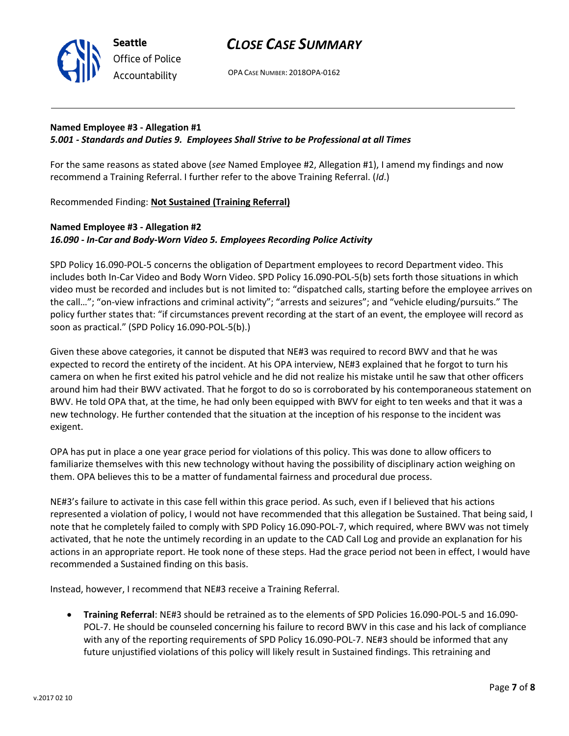

OPA CASE NUMBER: 2018OPA-0162

## **Named Employee #3 - Allegation #1** *5.001 - Standards and Duties 9. Employees Shall Strive to be Professional at all Times*

For the same reasons as stated above (*see* Named Employee #2, Allegation #1), I amend my findings and now recommend a Training Referral. I further refer to the above Training Referral. (*Id*.)

Recommended Finding: **Not Sustained (Training Referral)**

**Seattle**

*Office of Police Accountability*

## **Named Employee #3 - Allegation #2** *16.090 - In-Car and Body-Worn Video 5. Employees Recording Police Activity*

SPD Policy 16.090-POL-5 concerns the obligation of Department employees to record Department video. This includes both In-Car Video and Body Worn Video. SPD Policy 16.090-POL-5(b) sets forth those situations in which video must be recorded and includes but is not limited to: "dispatched calls, starting before the employee arrives on the call…"; "on-view infractions and criminal activity"; "arrests and seizures"; and "vehicle eluding/pursuits." The policy further states that: "if circumstances prevent recording at the start of an event, the employee will record as soon as practical." (SPD Policy 16.090-POL-5(b).)

Given these above categories, it cannot be disputed that NE#3 was required to record BWV and that he was expected to record the entirety of the incident. At his OPA interview, NE#3 explained that he forgot to turn his camera on when he first exited his patrol vehicle and he did not realize his mistake until he saw that other officers around him had their BWV activated. That he forgot to do so is corroborated by his contemporaneous statement on BWV. He told OPA that, at the time, he had only been equipped with BWV for eight to ten weeks and that it was a new technology. He further contended that the situation at the inception of his response to the incident was exigent.

OPA has put in place a one year grace period for violations of this policy. This was done to allow officers to familiarize themselves with this new technology without having the possibility of disciplinary action weighing on them. OPA believes this to be a matter of fundamental fairness and procedural due process.

NE#3's failure to activate in this case fell within this grace period. As such, even if I believed that his actions represented a violation of policy, I would not have recommended that this allegation be Sustained. That being said, I note that he completely failed to comply with SPD Policy 16.090-POL-7, which required, where BWV was not timely activated, that he note the untimely recording in an update to the CAD Call Log and provide an explanation for his actions in an appropriate report. He took none of these steps. Had the grace period not been in effect, I would have recommended a Sustained finding on this basis.

Instead, however, I recommend that NE#3 receive a Training Referral.

• **Training Referral**: NE#3 should be retrained as to the elements of SPD Policies 16.090-POL-5 and 16.090- POL-7. He should be counseled concerning his failure to record BWV in this case and his lack of compliance with any of the reporting requirements of SPD Policy 16.090-POL-7. NE#3 should be informed that any future unjustified violations of this policy will likely result in Sustained findings. This retraining and